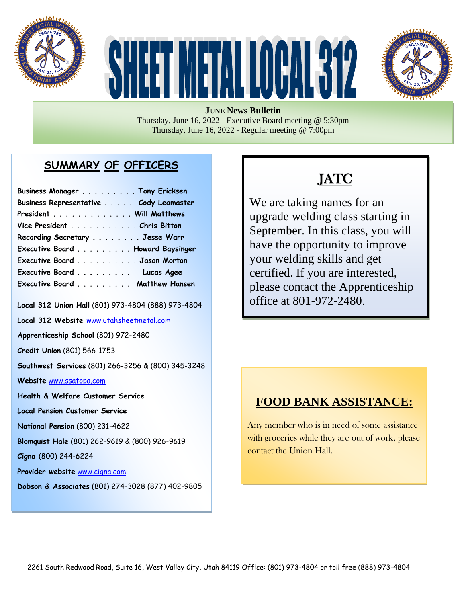





**JUNE News Bulletin** Thursday, June 16, 2022 - Executive Board meeting @ 5:30pm Thursday, June 16, 2022 - Regular meeting @ 7:00pm

### **SUMMARY OF OFFICERS**

| Business Manager Tony Ericksen         |  |
|----------------------------------------|--|
| Business Representative Cody Leamaster |  |
| President Will Matthews                |  |
| Vice President Chris Bitton            |  |
| Recording Secretary Jesse Warr         |  |
| Executive Board Howard Baysinger       |  |
| Executive Board Jason Morton           |  |
| Executive Board Lucas Agee             |  |
| Executive Board Matthew Hansen         |  |

**Local 312 Union Hall** (801) 973-4804 (888) 973-4804

**Local 312 Website** [www.utahsheetmetal.com](http://www.utahsheetmetal.com/)

**Apprenticeship School** (801) 972-2480

**Credit Union** (801) 566-1753

**Southwest Services** (801) 266-3256 & (800) 345-3248

**Website** [www.ssatopa.com](http://www.ssatopa.com/)

**Health & Welfare Customer Service**

**Local Pension Customer Service**

**National Pension** (800) 231-4622

**Blomquist Hale** (801) 262-9619 & (800) 926-9619

**Cigna** (800) 244-6224

**Provider website** [www.cigna.com](http://www.cigna.com/)

**Dobson & Associates** (801) 274-3028 (877) 402-9805

# JATC

We are taking names for an upgrade welding class starting in September. In this class, you will have the opportunity to improve your welding skills and get certified. If you are interested, please contact the Apprenticeship office at 801-972-2480.

### **FOOD BANK ASSISTANCE:**

Any member who is in need of some assistance with groceries while they are out of work, please contact the Union Hall.